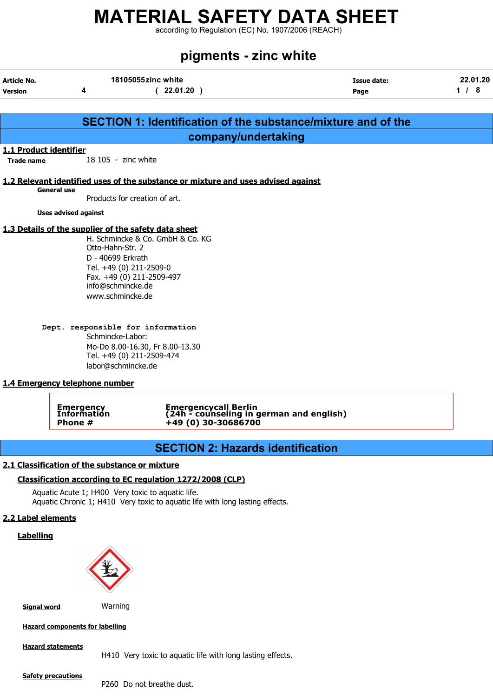according to Regulation (EC) No. 1907/2006 (REACH)

# pigments - zinc white

| <b>Article No.</b>                          | 18105055zinc white                                                                                                                                                                                                                 | <b>Issue date:</b>                                               | 22.01.20 |
|---------------------------------------------|------------------------------------------------------------------------------------------------------------------------------------------------------------------------------------------------------------------------------------|------------------------------------------------------------------|----------|
| <b>Version</b>                              | 4<br>(22.01.20)                                                                                                                                                                                                                    | Page                                                             | 1/8      |
|                                             |                                                                                                                                                                                                                                    |                                                                  |          |
|                                             |                                                                                                                                                                                                                                    | SECTION 1: Identification of the substance/mixture and of the    |          |
|                                             |                                                                                                                                                                                                                                    | company/undertaking                                              |          |
| <b>1.1 Product identifier</b><br>Trade name | 18 105 - zinc white                                                                                                                                                                                                                |                                                                  |          |
|                                             | 1.2 Relevant identified uses of the substance or mixture and uses advised against                                                                                                                                                  |                                                                  |          |
| <b>General use</b>                          | Products for creation of art.                                                                                                                                                                                                      |                                                                  |          |
|                                             | <b>Uses advised against</b>                                                                                                                                                                                                        |                                                                  |          |
|                                             | 1.3 Details of the supplier of the safety data sheet<br>H. Schmincke & Co. GmbH & Co. KG<br>Otto-Hahn-Str. 2<br>D - 40699 Erkrath<br>Tel. +49 (0) 211-2509-0<br>Fax. +49 (0) 211-2509-497<br>info@schmincke.de<br>www.schmincke.de |                                                                  |          |
|                                             | Dept. responsible for information<br>Schmincke-Labor:<br>Mo-Do 8.00-16.30, Fr 8.00-13.30<br>Tel. +49 (0) 211-2509-474<br>labor@schmincke.de<br>1.4 Emergency telephone number                                                      |                                                                  |          |
|                                             | Emergency<br>Information<br>+49 (0) 30-30686700<br>Phone #                                                                                                                                                                         | Emergencycall Berlin<br>(24h - counseling in german and english) |          |
|                                             |                                                                                                                                                                                                                                    | <b>SECTION 2: Hazards identification</b>                         |          |
|                                             | 2.1 Classification of the substance or mixture                                                                                                                                                                                     |                                                                  |          |
|                                             | Classification according to EC regulation 1272/2008 (CLP)                                                                                                                                                                          |                                                                  |          |
|                                             | Aquatic Acute 1; H400 Very toxic to aquatic life.<br>Aquatic Chronic 1; H410 Very toxic to aquatic life with long lasting effects.                                                                                                 |                                                                  |          |

#### 2.2 Label elements

#### **Labelling**



**Signal word** Warning

#### Hazard components for labelling

#### **Hazard statements**

H410 Very toxic to aquatic life with long lasting effects.

**Safety precautions** 

P260 Do not breathe dust.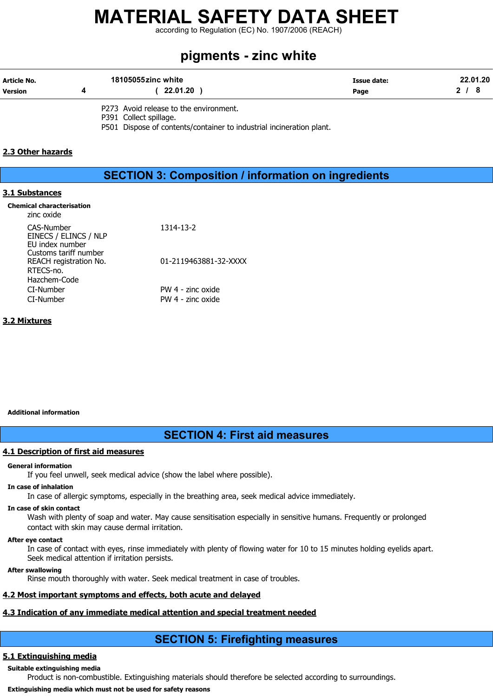according to Regulation (EC) No. 1907/2006 (REACH)

# pigments - zinc white

| Article No. | 18105055zinc white | Issue date: | 22.01.20 |
|-------------|--------------------|-------------|----------|
| Version     | 22.01.20           | Page        |          |
|             |                    |             |          |

P273 Avoid release to the environment.

P391 Collect spillage.

P501 Dispose of contents/container to industrial incineration plant.

#### 2.3 Other hazards

## SECTION 3: Composition / information on ingredients

#### 3.1 Substances

#### Chemical characterisation

| zinc oxide                                                   |                       |
|--------------------------------------------------------------|-----------------------|
| CAS-Number<br>EINECS / ELINCS / NLP<br>EU index number       | 1314-13-2             |
| Customs tariff number<br>REACH registration No.<br>RTECS-no. | 01-2119463881-32-XXXX |
| Hazchem-Code<br>CI-Number                                    | PW 4 - zinc oxide     |
| CI-Number                                                    | PW 4 - zinc oxide     |
|                                                              |                       |

#### 3.2 Mixtures

#### Additional information

## SECTION 4: First aid measures

#### 4.1 Description of first aid measures

#### General information

If you feel unwell, seek medical advice (show the label where possible).

#### In case of inhalation

In case of allergic symptoms, especially in the breathing area, seek medical advice immediately.

#### In case of skin contact

Wash with plenty of soap and water. May cause sensitisation especially in sensitive humans. Frequently or prolonged contact with skin may cause dermal irritation.

#### After eye contact

In case of contact with eyes, rinse immediately with plenty of flowing water for 10 to 15 minutes holding eyelids apart. Seek medical attention if irritation persists.

#### After swallowing

Rinse mouth thoroughly with water. Seek medical treatment in case of troubles.

## 4.2 Most important symptoms and effects, both acute and delayed

### 4.3 Indication of any immediate medical attention and special treatment needed

## SECTION 5: Firefighting measures

### 5.1 Extinguishing media

Suitable extinguishing media

Product is non-combustible. Extinguishing materials should therefore be selected according to surroundings.

Extinguishing media which must not be used for safety reasons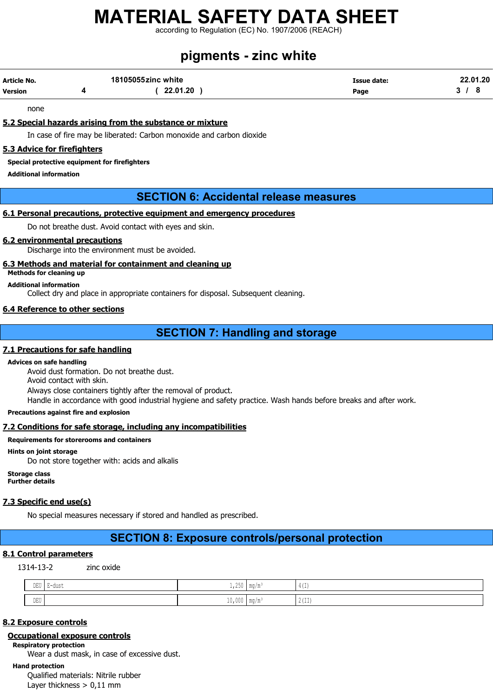according to Regulation (EC) No. 1907/2006 (REACH)

# pigments - zinc white

| Article No. | 18105055zinc white | Issue date: | 22.01.20 |
|-------------|--------------------|-------------|----------|
| Version     | 22.01.20           | Page        |          |

none

#### 5.2 Special hazards arising from the substance or mixture

In case of fire may be liberated: Carbon monoxide and carbon dioxide

#### 5.3 Advice for firefighters

Special protective equipment for firefighters

Additional information

### SECTION 6: Accidental release measures

#### 6.1 Personal precautions, protective equipment and emergency procedures

Do not breathe dust. Avoid contact with eyes and skin.

#### 6.2 environmental precautions

Discharge into the environment must be avoided.

#### 6.3 Methods and material for containment and cleaning up

Methods for cleaning up

Additional information

Collect dry and place in appropriate containers for disposal. Subsequent cleaning.

#### 6.4 Reference to other sections

## SECTION 7: Handling and storage

#### 7.1 Precautions for safe handling

#### Advices on safe handling

Avoid dust formation. Do not breathe dust.

Avoid contact with skin.

Always close containers tightly after the removal of product.

Handle in accordance with good industrial hygiene and safety practice. Wash hands before breaks and after work.

Precautions against fire and explosion

#### 7.2 Conditions for safe storage, including any incompatibilities

#### Requirements for storerooms and containers

Hints on joint storage Do not store together with: acids and alkalis

Storage class Further details

#### 7.3 Specific end use(s)

No special measures necessary if stored and handled as prescribed.

### SECTION 8: Exposure controls/personal protection

#### 8.1 Control parameters

1314-13-2 zinc oxide

| DEU E-                           | $\sim$<br>uuu u | $^{\wedge}$ E $^{\wedge}$<br>⊥ । ८ J ∪   ⊥llЧ / llt | $m \sim l m$ | $11 - 1$<br>. T 1 1         |
|----------------------------------|-----------------|-----------------------------------------------------|--------------|-----------------------------|
| $\mathbb{D}\mathbb{E}\mathbb{U}$ |                 | nnr<br>⊥∪, ∪∪∪  lllЧ/llt                            | $m \sim l m$ | $0.1 + 1.1$<br>$\sqrt{211}$ |

#### 8.2 Exposure controls

#### Occupational exposure controls

Respiratory protection

Wear a dust mask, in case of excessive dust.

Hand protection Qualified materials: Nitrile rubber Layer thickness > 0,11 mm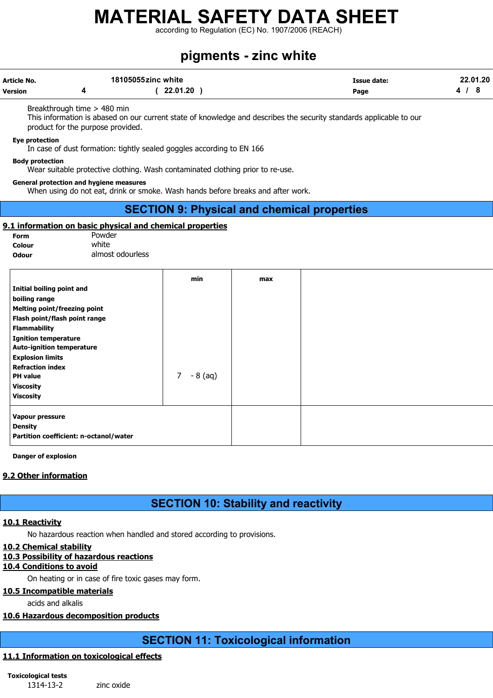according to Regulation (EC) No. 1907/2006 (REACH)

# pigments - zinc white

| Article No. | 18105055zinc white | Issue date: | 22.01.20 |
|-------------|--------------------|-------------|----------|
| Version     | 22.01.20           | Page        |          |

Breakthrough time > 480 min

This information is abased on our current state of knowledge and describes the security standards applicable to our product for the purpose provided.

#### Eye protection

In case of dust formation: tightly sealed goggles according to EN 166

#### Body protection

Wear suitable protective clothing. Wash contaminated clothing prior to re-use.

#### General protection and hygiene measures

When using do not eat, drink or smoke. Wash hands before breaks and after work.

## SECTION 9: Physical and chemical properties

#### 9.1 information on basic physical and chemical properties

| <b>Form</b>  | Powder           |
|--------------|------------------|
| Colour       | white            |
| <b>Odour</b> | almost odourless |

|                                        | min                         | max |  |
|----------------------------------------|-----------------------------|-----|--|
| Initial boiling point and              |                             |     |  |
| boiling range                          |                             |     |  |
| <b>Melting point/freezing point</b>    |                             |     |  |
| Flash point/flash point range          |                             |     |  |
| <b>Flammability</b>                    |                             |     |  |
| <b>Ignition temperature</b>            |                             |     |  |
| <b>Auto-ignition temperature</b>       |                             |     |  |
| <b>Explosion limits</b>                |                             |     |  |
| <b>Refraction index</b>                |                             |     |  |
| <b>PH</b> value                        | $\overline{7}$<br>$-8$ (aq) |     |  |
| <b>Viscosity</b>                       |                             |     |  |
| <b>Viscosity</b>                       |                             |     |  |
| Vapour pressure                        |                             |     |  |
| <b>Density</b>                         |                             |     |  |
| Partition coefficient: n-octanol/water |                             |     |  |
|                                        |                             |     |  |

Danger of explosion

#### 9.2 Other information

## SECTION 10: Stability and reactivity

#### 10.1 Reactivity

No hazardous reaction when handled and stored according to provisions.

#### 10.2 Chemical stability

#### 10.3 Possibility of hazardous reactions

#### 10.4 Conditions to avoid

On heating or in case of fire toxic gases may form.

#### 10.5 Incompatible materials

acids and alkalis

#### 10.6 Hazardous decomposition products

## SECTION 11: Toxicological information

#### 11.1 Information on toxicological effects

Toxicological tests 1314-13-2 zinc oxide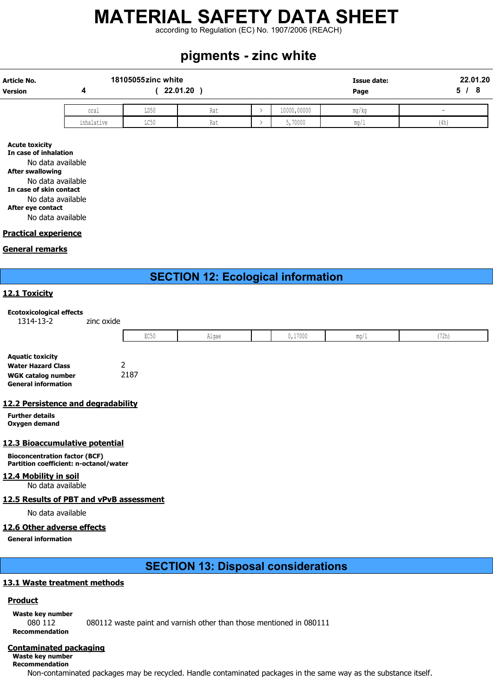according to Regulation (EC) No. 1907/2006 (REACH)

# pigments - zinc white

| Article No.<br>Version |            | 18105055zinc white | 22.01.20 |             | <b>Issue date:</b><br>Page | 22.01.20<br>- 8<br>5 <sub>1</sub> |
|------------------------|------------|--------------------|----------|-------------|----------------------------|-----------------------------------|
|                        | oral       | LD50               | Rat      | 10000,00000 | mg/kg                      | $\overline{\phantom{0}}$          |
|                        | inhalative | LC50               | Rat      | 5,70000     | ma/l                       | (4h)                              |

Acute toxicity

In case of inhalation No data available

After swallowing

No data available

In case of skin contact

No data available

After eye contact

No data available

#### Practical experience

#### General remarks

## SECTION 12: Ecological information

#### 12.1 Toxicity

#### Ecotoxicological effects

1314-13-2 zinc oxide

|  |  | $P \cap E$<br>コーンク | $ -$<br>.<br>ייש⊥∡⊥ ∪ |  | 0,17000 | <b>MA OH</b> | 1701<br>. 12n |
|--|--|--------------------|-----------------------|--|---------|--------------|---------------|
|--|--|--------------------|-----------------------|--|---------|--------------|---------------|

| <b>Aquatic toxicity</b>    |      |
|----------------------------|------|
| <b>Water Hazard Class</b>  | 2    |
| <b>WGK catalog number</b>  | 2187 |
| <b>General information</b> |      |

#### 12.2 Persistence and degradability

Further details Oxygen demand

#### 12.3 Bioaccumulative potential

Bioconcentration factor (BCF) Partition coefficient: n-octanol/water

#### 12.4 Mobility in soil

No data available

#### 12.5 Results of PBT and vPvB assessment

No data available

#### 12.6 Other adverse effects

General information

SECTION 13: Disposal considerations

#### 13.1 Waste treatment methods

#### **Product**

Waste key number 080 112 080112 waste paint and varnish other than those mentioned in 080111 Recommendation

#### Contaminated packaging

Waste key number Recommendation

Non-contaminated packages may be recycled. Handle contaminated packages in the same way as the substance itself.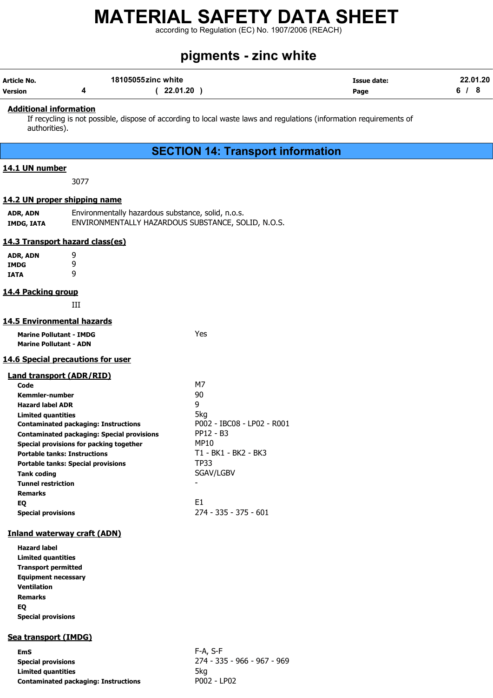according to Regulation (EC) No. 1907/2006 (REACH)

## pigments - zinc white

| Article No. | 18105055zinc white | <b>Issue date:</b> | 22.01.20 |
|-------------|--------------------|--------------------|----------|
| Version     | 22.01.20           | Page               |          |

#### Additional information

If recycling is not possible, dispose of according to local waste laws and regulations (information requirements of authorities).

## SECTION 14: Transport information

#### 14.1 UN number

3077

#### 14.2 UN proper shipping name

| ADR, ADN   | Environmentally hazardous substance, solid, n.o.s. |
|------------|----------------------------------------------------|
| IMDG, IATA | ENVIRONMENTALLY HAZARDOUS SUBSTANCE, SOLID, N.O.S. |

#### 14.3 Transport hazard class(es)

| ADR, ADN    | 9 |
|-------------|---|
| <b>IMDG</b> | 9 |
| IATA        | 9 |

#### 14.4 Packing group

III

#### 14.5 Environmental hazards

| <b>Marine Pollutant - IMDG</b>    | Yes |
|-----------------------------------|-----|
| <b>Marine Pollutant - ADN</b>     |     |
| 14.6 Special precautions for user |     |
| Land transport (ADR/RID)          |     |
| Code                              |     |

| Code                                              | M7                         |
|---------------------------------------------------|----------------------------|
| Kemmler-number                                    | 90                         |
| <b>Hazard label ADR</b>                           | 9                          |
| <b>Limited quantities</b>                         | 5kg                        |
| <b>Contaminated packaging: Instructions</b>       | P002 - IBC08 - LP02 - R001 |
| <b>Contaminated packaging: Special provisions</b> | PP12 - B3                  |
| Special provisions for packing together           | MP10                       |
| <b>Portable tanks: Instructions</b>               | T1 - BK1 - BK2 - BK3       |
| <b>Portable tanks: Special provisions</b>         | TP33                       |
| <b>Tank coding</b>                                | SGAV/LGBV                  |
| <b>Tunnel restriction</b>                         |                            |
| <b>Remarks</b>                                    |                            |
| EQ                                                | E1                         |
| <b>Special provisions</b>                         | 274 - 335 - 375 - 601      |

#### Inland waterway craft (ADN)

Hazard label Limited quantities Transport permitted Equipment necessary Ventilation Remarks EQ Special provisions

#### Sea transport (IMDG)

| EmS                                         | F-A,             |
|---------------------------------------------|------------------|
| <b>Special provisions</b>                   | 274              |
| <b>Limited quantities</b>                   | 5ka              |
| <b>Contaminated packaging: Instructions</b> | P <sub>0</sub> 0 |

 $F-A$ , S-F Special provisions 274 - 335 - 966 - 967 - 969 P002 - LP02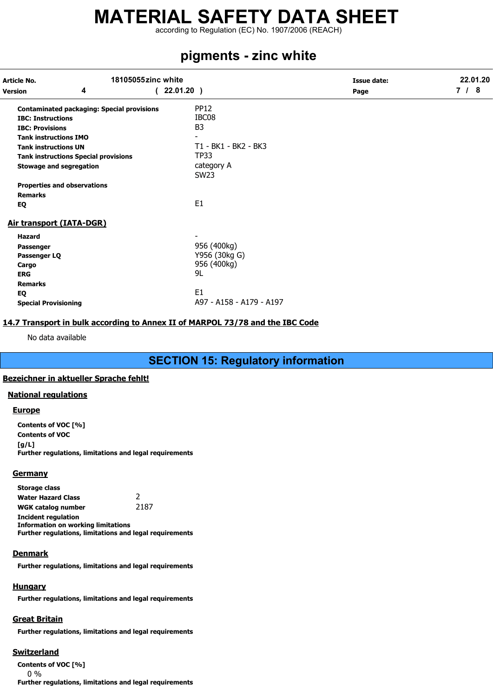according to Regulation (EC) No. 1907/2006 (REACH)

# pigments - zinc white

| Article No.                  |                                                   | 18105055zinc white       | <b>Issue date:</b> | 22.01.20<br>7/8 |
|------------------------------|---------------------------------------------------|--------------------------|--------------------|-----------------|
| <b>Version</b>               | 4                                                 | $22.01.20$ )             | Page               |                 |
|                              | <b>Contaminated packaging: Special provisions</b> | <b>PP12</b>              |                    |                 |
| <b>IBC: Instructions</b>     |                                                   | IBC08                    |                    |                 |
| <b>IBC: Provisions</b>       |                                                   | B <sub>3</sub>           |                    |                 |
| <b>Tank instructions IMO</b> |                                                   |                          |                    |                 |
| <b>Tank instructions UN</b>  |                                                   | T1 - BK1 - BK2 - BK3     |                    |                 |
|                              | <b>Tank instructions Special provisions</b>       | <b>TP33</b>              |                    |                 |
|                              | <b>Stowage and segregation</b>                    | category A               |                    |                 |
|                              |                                                   | <b>SW23</b>              |                    |                 |
|                              | <b>Properties and observations</b>                |                          |                    |                 |
| <b>Remarks</b>               |                                                   |                          |                    |                 |
| EQ                           |                                                   | E <sub>1</sub>           |                    |                 |
|                              | <b>Air transport (IATA-DGR)</b>                   |                          |                    |                 |
| <b>Hazard</b>                |                                                   |                          |                    |                 |
| Passenger                    |                                                   | 956 (400kg)              |                    |                 |
| Passenger LQ                 |                                                   | Y956 (30kg G)            |                    |                 |
| Cargo                        |                                                   | 956 (400kg)              |                    |                 |
| <b>ERG</b>                   |                                                   | 9L                       |                    |                 |
| <b>Remarks</b>               |                                                   |                          |                    |                 |
| EQ                           |                                                   | E <sub>1</sub>           |                    |                 |
| <b>Special Provisioning</b>  |                                                   | A97 - A158 - A179 - A197 |                    |                 |
|                              |                                                   |                          |                    |                 |

#### 14.7 Transport in bulk according to Annex II of MARPOL 73/78 and the IBC Code

No data available

SECTION 15: Regulatory information

#### Bezeichner in aktueller Sprache fehlt!

#### National regulations

#### **Europe**

Contents of VOC [%] Contents of VOC  $[a/L]$ Further regulations, limitations and legal requirements

#### **Germany**

Storage class Water Hazard Class 2 WGK catalog number 2187 Incident regulation Information on working limitations Further regulations, limitations and legal requirements

#### **Denmark**

Further regulations, limitations and legal requirements

#### Hungary

Further regulations, limitations and legal requirements

#### Great Britain

Further regulations, limitations and legal requirements

#### **Switzerland**

Contents of VOC [%] 0 % Further regulations, limitations and legal requirements